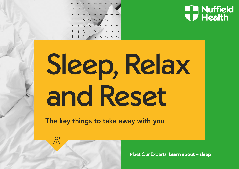



# Sleep, Relax and Reset

The key things to take away with you

 $\frac{Q^{z}}{dz}$ 

Meet Our Experts: **Learn about – sleep**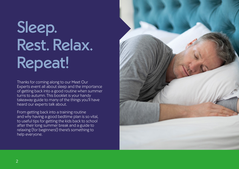# Sleep. Rest. Relax. Repeat!

Thanks for coming along to our Meet Our Experts event all about sleep and the importance of getting back into a good routine when summer turns to autumn. This booklet is your handy takeaway guide to many of the things you'll have heard our experts talk about.

From getting back into a training routine and why having a good bedtime plan is so vital, to useful tips for getting the kids back to school after their long summer break and a guide to relaxing (for beginners!) there's something to help everyone.

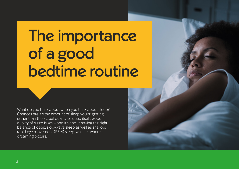### The importance of a good bedtime routine

What do you think about when you think about sleep? Chances are it's the amount of sleep you're getting, rather than the actual quality of sleep itself. Good quality of sleep is key – and it's about having the right balance of deep, slow-wave sleep as well as shallow, rapid eye movement (REM) sleep, which is where dreaming occurs.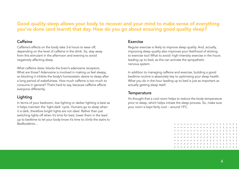#### Good quality sleep allows your body to recover and your mind to make sense of everything you've done (and learnt) that day. How do you go about ensuring good quality sleep?

#### Caffeine

Caffeine's effects on the body take 3-6 hours to wear off, depending on the level of caffeine in the drink. So, stay away from this stimulant in the afternoon and evening to avoid negatively affecting sleep.

What caffeine does: blocks the brain's adenosine receptors. What are those? Adenosine is involved in making us feel sleepy, so blocking it inhibits the body's homeostatic desire to sleep after a long period of wakefulness. How much caffeine is too much to consume in general? That's hard to say, because caffeine affects everyone differently.

#### Lighting

In terms of your bedroom, low lighting or darker lighting is best as it helps maintain the 'light-dark' cycle. Humans go to sleep when it is dark, therefore bright lights are not ideal. Rather than just switching lights off when it's time for bed, lower them in the lead up to bedtime to let your body know it's time to climb the stairs to Bedfordshire…

#### Exercise

Regular exercise is likely to improve sleep quality. And, actually, improving sleep quality also improves your likelihood of sticking to exercise too! What to avoid: high-intensity exercise in the hours leading up to bed, as this can activate the sympathetic nervous system.

In addition to managing caffeine and exercise, building a good bedtime routine is absolutely key to optimising your sleep health. What you do in the hour leading up to bed is just as important as actually getting sleep itself.

#### **Temperature**

It's thought that a cool room helps to reduce the body temperature prior to sleep, which helps initiate the sleep process. So, make sure your room is kept fairly cool – around 19˚C.

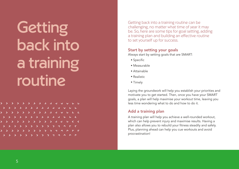**Getting** back into a training routine

**ALLAN**  $\Delta$ 

Getting back into a training routine can be challenging, no matter what time of year it may be. So, here are some tips for goal setting, adding a training plan and building an effective routine to set yourself up for success.

#### Start by setting your goals

Always start by setting goals that are SMART:

- ◆ Specific
- ◆ Measurable
- ◆ Attainable
- ◆ Realistic
- ◆ Timely

Laying the groundwork will help you establish your priorities and motivate you to get started. Then, once you have your SMART goals, a plan will help maximise your workout time, leaving you less time wondering what to do and how to do it.

#### Add a training plan

A training plan will help you achieve a well-rounded workout, which can help prevent injury and maximise results. Having a plan also allows you to rebuild your fitness steadily and safely. Plus, planning ahead can help you cue workouts and avoid procrastination!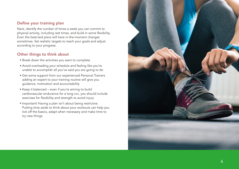#### Define your training plan

Next, identify the number of times a week you can commit to physical activity, including rest times, and build in some flexibility. Even the best-laid plans will have in-the-moment changes sometimes. Set realistic targets to reach your goals and adjust according to your progress.

#### Other things to think about

- ◆ Break down the activities you want to complete
- ◆ Avoid overloading your schedule and feeling like you're unable to accomplish all you've said you are going to do
- ◆ Get some support from our experienced Personal Trainers adding an expert to your training routine will give you guidance, motivation and accountability
- ◆ Keep it balanced even if you're aiming to build cardiovascular endurance for a long run, you should include exercises for flexibility and strength to avoid injury
- ◆ Important! Having a plan isn't about being restrictive. Putting time aside to think about your workouts can help you tick off the basics, adapt when necessary and make time to try new things.

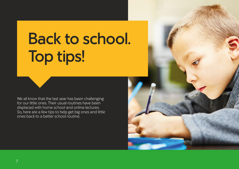### Back to school. Top tips!

We all know that the last year has been challenging for our little ones. Their usual routines have been displaced with home school and online lectures. So, here are a few tips to help get big ones and little ones back to a better school routine.

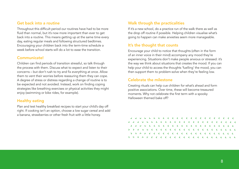#### Get back into a routine

Throughout this difficult period our routines have had to be more fluid than normal, but it's now more important than ever to get back into a routine. This means getting up at the same time every day, eating regular meals and following structured bedtimes. Encouraging your children back into the term-time schedule a week before school starts will do a lot to ease the transition.

#### Communicate!

Children can find periods of transition stressful, so talk through the process with them. Discuss what to expect and listen to their concerns – but don't rush to try and fix everything at once. Allow them to vent their worries before reassuring them they can cope. A degree of stress or distress regarding a change of routine is to be expected and not avoided. Instead, work on finding coping strategies like breathing exercises or physical activities they might enjoy (swimming or bike rides, for example).

#### Healthy eating

Plan and test healthy breakfast recipes to start your child's day off right. If cooking isn't an option, choose a low sugar cereal and add a banana, strawberries or other fresh fruit with a little honey.

#### Walk through the practicalities

If it's a new school, do a practice run of the walk there as well as the drop off routine if possible. Helping children visualise what's going to happen can make anxieties seem more manageable.

#### It's the thought that counts

Encourage your child to notice that thoughts (often in the form of an inner voice in their mind) accompany any mood they're experiencing. Situations don't make people anxious or stressed: it's the way we think about situations that creates the mood. If you can help your child to access the thoughts 'fuelling' the mood, you can then support them to problem-solve when they're feeling low.

#### Celebrate the milestone

Creating rituals can help cue children for what's ahead and form positive associations. Over time, these will become treasured moments. Why not celebrate the first term with a spooky Halloween themed bake off?

L'ELECTRICITIE (CELEC L L L L L L L L L L L L L L a cacacacacacac . . . . . . . . . . . . . . . . . . . *RECEILLIALLE*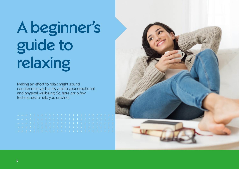# A beginner's guide to relaxing

Making an effort to relax might sound counterintuitive, but it's vital to your emotional and physical wellbeing. So, here are a few techniques to help you unwind.

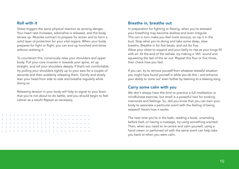#### Roll with it

Stress triggers the same physical reaction as sensing danger. Your heart rate increases, adrenaline is released, and the body tenses up. Muscles contract to prepare for action and to form a solid layer of protection for your vital organs. When your body prepares for fight or flight, you can end up hunched and tense without realising it.

To counteract this, consciously relax your shoulders and upper body. Pull your core muscles in towards your spine, sit up straight, and roll your shoulders deeply. If that's not comfortable, try pulling your shoulders tightly up to your ears for a couple of seconds and then suddenly releasing them. Gently and slowly lean your head from side to side and breathe regularly while doing so.

Releasing tension in your body will help to signal to your brain that you're not about to do battle, and you should begin to feel calmer as a result! Repeat as necessary.



#### Breathe in, breathe out

In preparation for fighting or fleeing, when you're stressed your breathing may become shallow and even irregular. This can in turn make you feel more anxious, so nip it in the bud. Stop what you're doing and take some deep, slow breaths. Breathe in for five beats, and out for five. Allow your chest to expand and your belly to rise as your lungs fill with air. At the end of the exhale, try making a 'shh' sound and squeezing the last of the air out. Repeat this four or five times, then check how you feel.

If you can, try to remove yourself from whatever stressful situation you might have found yourself in while you do this – and enhance your ability to 'zone out' even further by listening to a relaxing song.

#### Carry some calm with you

We don't always have the time to practice a full meditation or mindfulness exercise, but smell is a powerful tool for evoking memories and feelings. So, did you know that you can train your body to associate a particular scent with the feeling of being relaxed? Here's how it works.

The next time you're in the bath, reading a book, unwinding before bed, or having a massage, try using something scented. Then, when you need to re-centre and calm yourself, using a hand cream or perfumed oil with the same scent can help take you back to when you were calm.